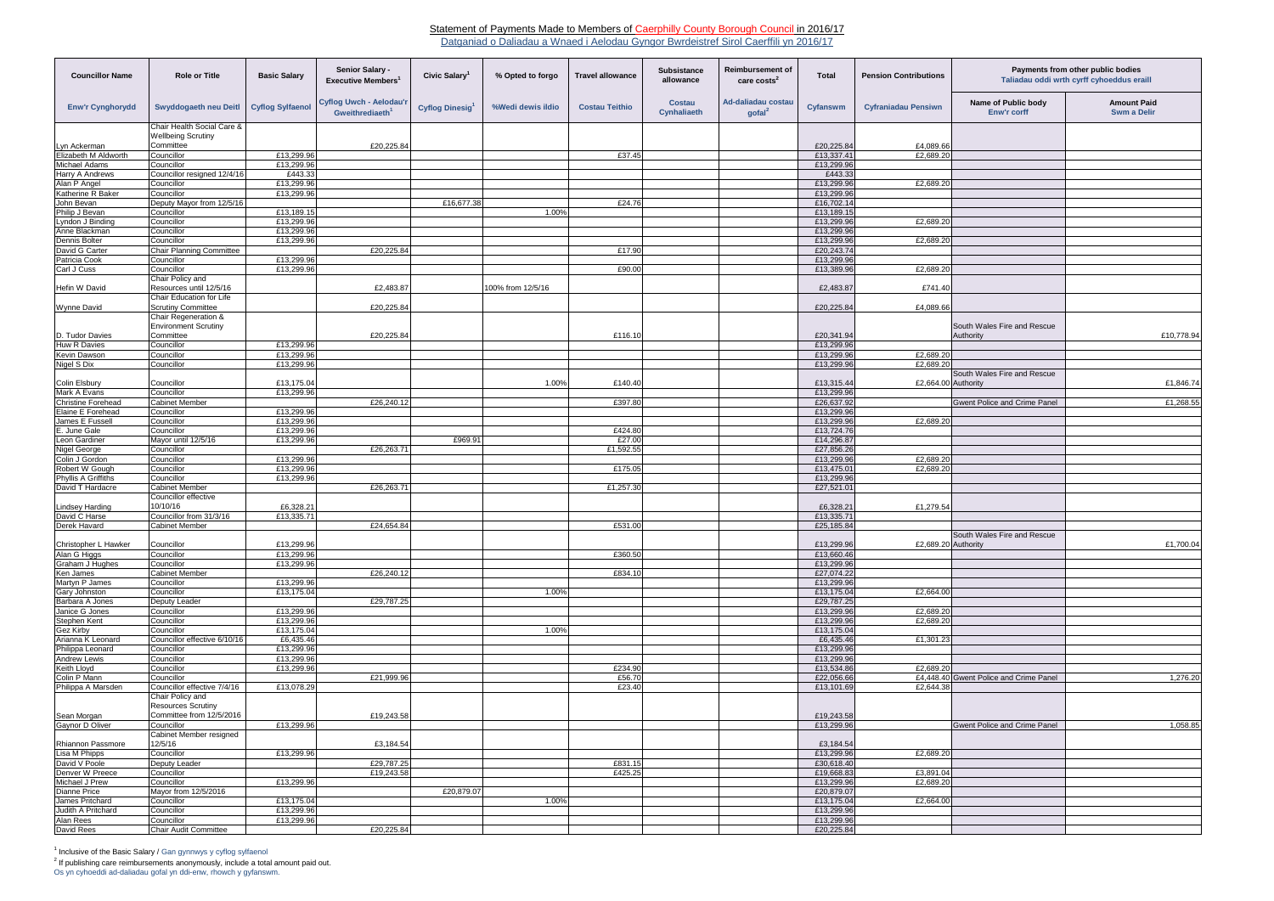## Statement of Payments Made to Members of Caerphilly County Borough Council in 2016/17

Datganiad o Daliadau a Wnaed i Aelodau Gyngor Bwrdeistref Sirol Caerffili yn 2016/17

Os yn cyhoeddi ad-daliadau gofal yn ddi-enw, rhowch y gyfanswm.

| <b>Councillor Name</b>                       | <b>Role or Title</b>                                    | <b>Basic Salary</b>      | Senior Salary -<br><b>Executive Members</b>            | Civic Salary <sup>1</sup>   | % Opted to forgo  | <b>Travel allowance</b> | <b>Subsistance</b><br>allowance | <b>Reimbursement of</b><br>care costs <sup>2</sup> | <b>Total</b>             | <b>Pension Contributions</b> | Payments from other public bodies<br>Taliadau oddi wrth cyrff cyhoeddus eraill |                                          |
|----------------------------------------------|---------------------------------------------------------|--------------------------|--------------------------------------------------------|-----------------------------|-------------------|-------------------------|---------------------------------|----------------------------------------------------|--------------------------|------------------------------|--------------------------------------------------------------------------------|------------------------------------------|
| <b>Enw'r Cynghorydd</b>                      | Swyddogaeth neu Deitl                                   | <b>Cyflog Sylfaenol</b>  | Cyflog Uwch - Aelodau'r<br>Gweithrediaeth <sup>1</sup> | Cyflog Dinesig <sup>1</sup> | %Wedi dewis ildio | <b>Costau Teithio</b>   | Costau<br>Cynhaliaeth           | <b>Ad-daliadau costau</b><br>$\text{gofal}^2$      | <b>Cyfanswm</b>          | <b>Cyfraniadau Pensiwn</b>   | Name of Public body<br><b>Enw'r corff</b>                                      | <b>Amount Paid</b><br><b>Swm a Delir</b> |
|                                              | Chair Health Social Care &<br><b>Wellbeing Scrutiny</b> |                          |                                                        |                             |                   |                         |                                 |                                                    |                          |                              |                                                                                |                                          |
| Lyn Ackerman                                 | Committee                                               |                          | £20,225.84                                             |                             |                   |                         |                                 |                                                    | £20,225.84               | £4,089.66                    |                                                                                |                                          |
| Elizabeth M Aldworth<br><b>Michael Adams</b> | Councillor<br>Councillor                                | £13,299.96<br>£13,299.96 |                                                        |                             |                   | £37.45                  |                                 |                                                    | £13,337.41<br>£13,299.96 | £2,689.20                    |                                                                                |                                          |
| <b>Harry A Andrews</b>                       | Councillor resigned 12/4/16                             | £443.33                  |                                                        |                             |                   |                         |                                 |                                                    | £443.33                  |                              |                                                                                |                                          |
| Alan P Angel                                 | Councillor                                              | £13,299.96               |                                                        |                             |                   |                         |                                 |                                                    | £13,299.96               | £2,689.20                    |                                                                                |                                          |
| Katherine R Baker                            | Councillor                                              | £13,299.96               |                                                        |                             |                   |                         |                                 |                                                    | £13,299.96               |                              |                                                                                |                                          |
| John Bevan                                   | Deputy Mayor from 12/5/16                               |                          |                                                        | £16,677.38                  |                   | £24.76                  |                                 |                                                    | £16,702.14               |                              |                                                                                |                                          |
| Philip J Bevan                               | Councillor                                              | £13,189.15               |                                                        |                             | 1.00%             |                         |                                 |                                                    | £13,189.1                |                              |                                                                                |                                          |
| Lyndon J Binding<br>Anne Blackman            | Councillor<br>Councillor                                | £13,299.96<br>£13,299.96 |                                                        |                             |                   |                         |                                 |                                                    | £13,299.96<br>£13,299.96 | £2,689.20                    |                                                                                |                                          |
| Dennis Bolter                                | Councillor                                              | £13,299.96               |                                                        |                             |                   |                         |                                 |                                                    | £13,299.96               | £2,689.20                    |                                                                                |                                          |
| David G Carter                               | <b>Chair Planning Committee</b>                         |                          | £20,225.84                                             |                             |                   | £17.90                  |                                 |                                                    | £20,243.74               |                              |                                                                                |                                          |
| Patricia Cook                                | Councillor                                              | £13,299.96               |                                                        |                             |                   |                         |                                 |                                                    | £13,299.96               |                              |                                                                                |                                          |
| Carl J Cuss                                  | Councillor                                              | £13,299.96               |                                                        |                             |                   | £90.00                  |                                 |                                                    | £13,389.96               | £2,689.20                    |                                                                                |                                          |
|                                              | Chair Policy and                                        |                          |                                                        |                             |                   |                         |                                 |                                                    |                          |                              |                                                                                |                                          |
| Hefin W David                                | Resources until 12/5/16<br>Chair Education for Life     |                          | £2,483.87                                              |                             | 100% from 12/5/16 |                         |                                 |                                                    | £2,483.87                | £741.40                      |                                                                                |                                          |
| Wynne David                                  | <b>Scrutiny Committee</b>                               |                          | £20,225.84                                             |                             |                   |                         |                                 |                                                    | £20,225.84               | £4,089.66                    |                                                                                |                                          |
|                                              | Chair Regeneration &                                    |                          |                                                        |                             |                   |                         |                                 |                                                    |                          |                              |                                                                                |                                          |
|                                              | <b>Environment Scrutiny</b>                             |                          |                                                        |                             |                   |                         |                                 |                                                    |                          |                              | South Wales Fire and Rescue                                                    |                                          |
| D. Tudor Davies                              | Committee                                               |                          | £20,225.84                                             |                             |                   | £116.10                 |                                 |                                                    | £20,341.94               |                              | Authority                                                                      | £10.778.94                               |
| <b>Huw R Davies</b>                          | Councillor                                              | £13,299.96               |                                                        |                             |                   |                         |                                 |                                                    | £13,299.96               |                              |                                                                                |                                          |
| <b>Kevin Dawson</b><br>Nigel S Dix           | Councillor<br>Councillor                                | £13,299.96<br>£13,299.96 |                                                        |                             |                   |                         |                                 |                                                    | £13,299.96<br>£13,299.96 | £2,689.20<br>£2,689.20       |                                                                                |                                          |
|                                              |                                                         |                          |                                                        |                             |                   |                         |                                 |                                                    |                          |                              | South Wales Fire and Rescue                                                    |                                          |
| <b>Colin Elsbury</b>                         | Councillor                                              | £13,175.04               |                                                        |                             | 1.00%             | £140.40                 |                                 |                                                    | £13,315.44               | £2,664.00 Authority          |                                                                                | £1,846.74                                |
| Mark A Evans                                 | Councillor                                              | £13,299.96               |                                                        |                             |                   |                         |                                 |                                                    | £13,299.96               |                              |                                                                                |                                          |
| <b>Christine Forehead</b>                    | <b>Cabinet Member</b>                                   |                          | £26,240.12                                             |                             |                   | £397.80                 |                                 |                                                    | £26,637.92               |                              | <b>Gwent Police and Crime Panel</b>                                            | £1,268.55                                |
| Elaine E Forehead                            | Councillor                                              | £13,299.96               |                                                        |                             |                   |                         |                                 |                                                    | £13,299.96               |                              |                                                                                |                                          |
| James E Fussell<br>E. June Gale              | Councillor<br>Councillor                                | £13,299.96<br>£13,299.96 |                                                        |                             |                   | £424.80                 |                                 |                                                    | £13,299.96<br>£13,724.76 | £2,689.20                    |                                                                                |                                          |
| Leon Gardiner                                | Mayor until 12/5/16                                     | £13,299.96               |                                                        | £969.91                     |                   | £27.00                  |                                 |                                                    | £14,296.87               |                              |                                                                                |                                          |
| Nigel George                                 | Councillor                                              |                          | £26,263.71                                             |                             |                   | £1,592.55               |                                 |                                                    | £27,856.26               |                              |                                                                                |                                          |
| Colin J Gordon                               | Councillor                                              | £13,299.96               |                                                        |                             |                   |                         |                                 |                                                    | £13,299.96               | £2,689.20                    |                                                                                |                                          |
| Robert W Gough                               | Councillor                                              | £13.299.96               |                                                        |                             |                   | £175.05                 |                                 |                                                    | £13,475.01               | £2,689.20                    |                                                                                |                                          |
| Phyllis A Griffiths                          | Councillor                                              | £13,299.96               |                                                        |                             |                   |                         |                                 |                                                    | £13,299.96               |                              |                                                                                |                                          |
| David T Hardacre                             | <b>Cabinet Member</b><br>Councillor effective           |                          | £26,263.71                                             |                             |                   | £1,257.30               |                                 |                                                    | £27,521.01               |                              |                                                                                |                                          |
| Lindsey Harding                              | 10/10/16                                                | £6,328.21                |                                                        |                             |                   |                         |                                 |                                                    | £6,328.21                | £1,279.54                    |                                                                                |                                          |
| David C Harse                                | Councillor from 31/3/16                                 | £13,335.7                |                                                        |                             |                   |                         |                                 |                                                    | £13,335.71               |                              |                                                                                |                                          |
| Derek Havard                                 | <b>Cabinet Member</b>                                   |                          | £24,654.84                                             |                             |                   | £531.00                 |                                 |                                                    | £25,185.84               |                              |                                                                                |                                          |
|                                              |                                                         |                          |                                                        |                             |                   |                         |                                 |                                                    |                          |                              | South Wales Fire and Rescue                                                    |                                          |
| Christopher L Hawker<br>Alan G Higgs         | Councillor<br>Councillor                                | £13,299.96<br>£13,299.96 |                                                        |                             |                   | £360.50                 |                                 |                                                    | £13,299.96<br>£13,660.46 | £2,689.20 Authority          |                                                                                | £1,700.04                                |
| Graham J Hughes                              | Councillor                                              | £13,299.96               |                                                        |                             |                   |                         |                                 |                                                    | £13,299.96               |                              |                                                                                |                                          |
| Ken James                                    | <b>Cabinet Member</b>                                   |                          | £26,240.12                                             |                             |                   | £834.10                 |                                 |                                                    | £27,074.22               |                              |                                                                                |                                          |
| Martyn P James                               | Councillor                                              | £13,299.96               |                                                        |                             |                   |                         |                                 |                                                    | £13,299.96               |                              |                                                                                |                                          |
| <b>Gary Johnston</b>                         | Councillor                                              | £13,175.04               |                                                        |                             | 1.00%             |                         |                                 |                                                    | £13,175.04               | £2,664.00                    |                                                                                |                                          |
| Barbara A Jones                              | Deputy Leader                                           |                          | £29,787.25                                             |                             |                   |                         |                                 |                                                    | £29,787.25               |                              |                                                                                |                                          |
| Janice G Jones<br>Stephen Kent               | Councillor<br>Councillor                                | £13,299.96<br>£13,299.96 |                                                        |                             |                   |                         |                                 |                                                    | £13,299.96<br>£13,299.96 | £2,689.20<br>£2,689.20       |                                                                                |                                          |
| Gez Kirby                                    | Councillor                                              | £13,175.04               |                                                        |                             | 1.00%             |                         |                                 |                                                    | £13,175.04               |                              |                                                                                |                                          |
| Arianna K Leonard                            | Councillor effective 6/10/16                            | £6,435.46                |                                                        |                             |                   |                         |                                 |                                                    | £6,435.46                | £1,301.23                    |                                                                                |                                          |
| Philippa Leonard                             | Councillor                                              | £13,299.96               |                                                        |                             |                   |                         |                                 |                                                    | £13,299.96               |                              |                                                                                |                                          |
| <b>Andrew Lewis</b>                          | Councillor                                              | £13,299.96               |                                                        |                             |                   |                         |                                 |                                                    | £13,299.96               |                              |                                                                                |                                          |
| Keith Lloyd                                  | Councillor                                              | £13,299.96               |                                                        |                             |                   | £234.90                 |                                 |                                                    | £13,534.86               | £2,689.20                    |                                                                                |                                          |
| Colin P Mann<br>Philippa A Marsden           | Councillor<br>Councillor effective 7/4/16               | £13,078.29               | £21,999.96                                             |                             |                   | £56.70<br>£23.40        |                                 |                                                    | £22,056.66<br>£13,101.69 | £2,644.38                    | £4,448.40 Gwent Police and Crime Panel                                         | 1,276.20                                 |
|                                              | Chair Policy and<br><b>Resources Scrutiny</b>           |                          |                                                        |                             |                   |                         |                                 |                                                    |                          |                              |                                                                                |                                          |
| Sean Morgan                                  | Committee from 12/5/2016                                |                          | £19,243.58                                             |                             |                   |                         |                                 |                                                    | £19,243.58               |                              |                                                                                |                                          |
| Gaynor D Oliver                              | Councillor                                              | £13,299.96               |                                                        |                             |                   |                         |                                 |                                                    | £13,299.96               |                              | <b>Gwent Police and Crime Panel</b>                                            | 1,058.85                                 |
|                                              | Cabinet Member resigned                                 |                          |                                                        |                             |                   |                         |                                 |                                                    |                          |                              |                                                                                |                                          |
| Rhiannon Passmore                            | 12/5/16                                                 |                          | £3,184.54                                              |                             |                   |                         |                                 |                                                    | £3,184.54                |                              |                                                                                |                                          |
| Lisa M Phipps                                | Councillor                                              | £13,299.96               |                                                        |                             |                   |                         |                                 |                                                    | £13,299.96               | £2,689.20                    |                                                                                |                                          |
| David V Poole<br>Denver W Preece             | Deputy Leader<br>Councillor                             |                          | £29,787.25<br>£19,243.58                               |                             |                   | £831.15<br>£425.25      |                                 |                                                    | £30,618.40<br>£19,668.83 | £3,891.04                    |                                                                                |                                          |
| Michael J Prew                               | Councillor                                              | £13,299.96               |                                                        |                             |                   |                         |                                 |                                                    | £13,299.96               | £2,689.20                    |                                                                                |                                          |
| Dianne Price                                 | Mayor from 12/5/2016                                    |                          |                                                        | £20,879.07                  |                   |                         |                                 |                                                    | £20,879.07               |                              |                                                                                |                                          |
| James Pritchard                              | Councillor                                              | £13,175.04               |                                                        |                             | 1.00%             |                         |                                 |                                                    | £13,175.04               | £2,664.00                    |                                                                                |                                          |
| Judith A Pritchard                           | Councillor                                              | £13,299.96               |                                                        |                             |                   |                         |                                 |                                                    | £13,299.96               |                              |                                                                                |                                          |
| Alan Rees                                    | Councillor                                              | £13,299.96               |                                                        |                             |                   |                         |                                 |                                                    | £13,299.96               |                              |                                                                                |                                          |
| David Rees                                   | <b>Chair Audit Committee</b>                            |                          | £20,225.84                                             |                             |                   |                         |                                 |                                                    | £20,225.84               |                              |                                                                                |                                          |

<sup>1</sup> Inclusive of the Basic Salary / Gan gynnwys y cyflog sylfaenol<br><sup>2</sup> If publishing care reimbursements anonymously, include a total amount paid out.